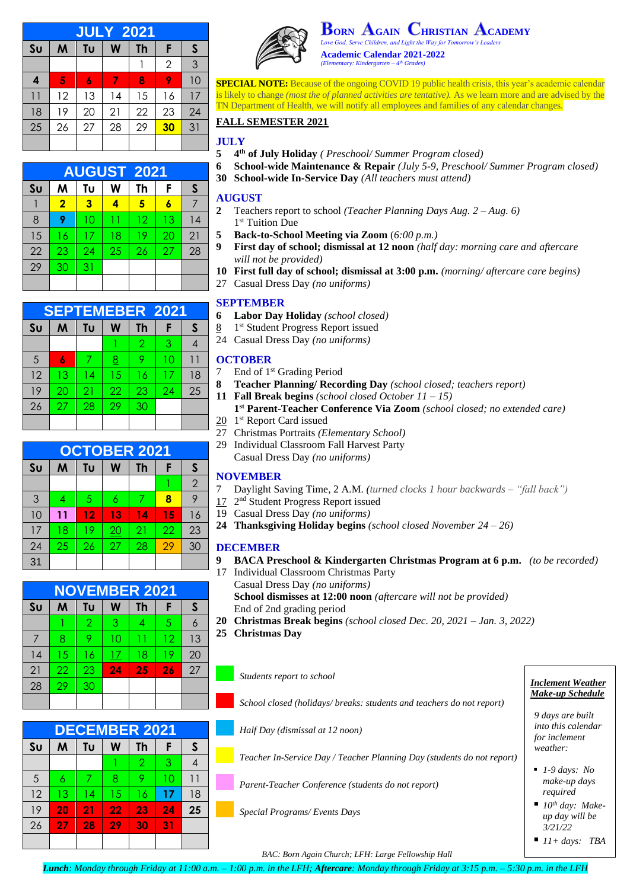| <b>JULY 2021</b> |    |    |    |           |                |    |  |
|------------------|----|----|----|-----------|----------------|----|--|
| S <sub>U</sub>   | M  | Tu | W  | <b>Th</b> | F              | S  |  |
|                  |    |    |    |           | $\overline{2}$ | 3  |  |
| 4                | 5  | 6  | 7  | 8         | 9              | 10 |  |
| $\overline{11}$  | 12 | 13 | 14 | 15        | 16             | 17 |  |
| 18               | 19 | 20 | 21 | 22        | 23             | 24 |  |
| 25               | 26 | 27 | 28 | 29        | 30             | 31 |  |
|                  |    |    |    |           |                |    |  |

| <b>AUGUST 2021</b> |                         |                         |    |    |    |    |  |  |
|--------------------|-------------------------|-------------------------|----|----|----|----|--|--|
| S <sub>U</sub>     | M                       | Tυ                      | W  | Th | F  | S  |  |  |
|                    | $\overline{\mathbf{2}}$ | $\overline{\mathbf{3}}$ |    | 5  |    |    |  |  |
| 8                  | 9                       | 10                      | 11 | 12 | 13 | 14 |  |  |
| 15                 | 16                      | 17                      | 18 | 19 | 20 | 21 |  |  |
| 22                 | 23                      | 24                      | 25 | 26 | 27 | 28 |  |  |
| 29                 | 30                      | 31                      |    |    |    |    |  |  |
|                    |                         |                         |    |    |    |    |  |  |

| <b>SEPTEMEBER 2021</b> |    |    |    |                |    |    |  |  |
|------------------------|----|----|----|----------------|----|----|--|--|
| S <sub>U</sub>         | M  | Tυ | W  | <b>Th</b>      | F  | S  |  |  |
|                        |    |    |    | $\overline{2}$ | 3  |    |  |  |
| 5                      | 6  | 7  | 8  | 9              | 10 | 11 |  |  |
| 12                     | 13 | 14 | 15 | 16             | 17 | 18 |  |  |
| 19                     | 20 | 21 | 22 | 23             | 24 | 25 |  |  |
| 26                     | 27 | 28 | 29 | 30             |    |    |  |  |
|                        |    |    |    |                |    |    |  |  |

| <b>OCTOBER 2021</b> |    |    |    |           |    |                |  |
|---------------------|----|----|----|-----------|----|----------------|--|
| S <sub>U</sub>      | M  | Tυ | W  | <b>Th</b> | F  | S              |  |
|                     |    |    |    |           |    | $\overline{2}$ |  |
| 3                   | 4  | 5  | 6  | 7         | 8  | 9              |  |
| 10                  | 11 | 12 | 13 | 14        | 15 | 16             |  |
| 17                  | 18 | 19 | 20 | 21        | 22 | 23             |  |
| 24                  | 25 | 26 | 27 | 28        | 29 | 30             |  |
| 31                  |    |    |    |           |    |                |  |

| <b>NOVEMBER 2021</b> |    |                |    |    |    |    |  |
|----------------------|----|----------------|----|----|----|----|--|
| S <sub>U</sub>       | M  | Tυ             | W  | Th | F  | S  |  |
|                      |    | $\overline{2}$ | 3  | 4  | 5  |    |  |
|                      | 8  | 9              | 10 | 11 | 12 | 13 |  |
| 14                   | 15 | 16             | 17 | 18 | 19 | 20 |  |
| 21                   | 22 | 23             | 24 | 25 | 26 | 27 |  |
| 28                   | 29 | 30             |    |    |    |    |  |
|                      |    |                |    |    |    |    |  |

| <b>DECEMBER 2021</b> |    |    |    |                |                 |    |  |
|----------------------|----|----|----|----------------|-----------------|----|--|
| S <sub>U</sub>       | M  | Tυ | W  | <b>Th</b>      | F               | S  |  |
|                      |    |    |    | $\overline{2}$ | 3               |    |  |
| 5                    | 6  | 7  | 8  | 9              | 10              | 11 |  |
| 12                   | 13 | 14 | 15 | 16             | 17              | 18 |  |
| 19                   | 20 | 21 | 22 | 23             | $\overline{24}$ | 25 |  |
| 26                   | 27 | 28 | 29 | 30             | 31              |    |  |
|                      |    |    |    |                |                 |    |  |



**ORN GAIN HRISTIAN CADEMY** *Love God, Serve Children, and Light the Way for Tomorrow's Leader.* 

**Academic Calendar 2021-2022** *(Elementary: Kindergarten – 4 th Grades)*

**SPECIAL NOTE:** Because of the ongoing COVID 19 public health crisis, this year's academic calendar is likely to change *(most the of planned activities are tentative).* As we learn more and are advised by the TN Department of Health, we will notify all employees and families of any calendar changes.

# **FALL SEMESTER 2021**

#### **JULY**

- **5 4 th of July Holiday** *( Preschool/ Summer Program closed)*
- **6 School-wide Maintenance & Repair** *(July 5-9, Preschool/ Summer Program closed)*
- **30 School-wide In-Service Day** *(All teachers must attend)*

## **AUGUST**

- **2** Teachers report to school *(Teacher Planning Days Aug. 2 – Aug. 6)* 1 st Tuition Due
- **5 Back-to-School Meeting via Zoom** (*6:00 p.m.)*
- **9 First day of school; dismissal at 12 noon** *(half day: morning care and aftercare will not be provided)*
- **10 First full day of school; dismissal at 3:00 p.m.** *(morning/ aftercare care begins)*
- 27 Casual Dress Day *(no uniforms)*

## **SEPTEMBER**

- **6 Labor Day Holiday** *(school closed)*
- 8 1<sup>st</sup> Student Progress Report issued
- 24 Casual Dress Day *(no uniforms)*

## **OCTOBER**

- 7 End of 1st Grading Period
- **8 Teacher Planning/ Recording Day** *(school closed; teachers report)*
- **11 Fall Break begins** *(school closed October 11 – 15)*
- **1 st Parent-Teacher Conference Via Zoom** *(school closed; no extended care)*
- 20 1<sup>st</sup> Report Card issued
- 27 Christmas Portraits *(Elementary School)*
- 29 Individual Classroom Fall Harvest Party Casual Dress Day *(no uniforms)*

## **NOVEMBER**

- 7 Daylight Saving Time, 2 A.M. *(turned clocks 1 hour backwards – "fall back")*
- 17 2<sup>nd</sup> Student Progress Report issued
- 19 Casual Dress Day *(no uniforms)*
- **24 Thanksgiving Holiday begins** *(school closed November 24 – 26)*

## **DECEMBER**

- **9 BACA Preschool & Kindergarten Christmas Program at 6 p.m.** *(to be recorded)*
- 17 Individual Classroom Christmas Party Casual Dress Day *(no uniforms)* **School dismisses at 12:00 noon** *(aftercare will not be provided)* End of 2nd grading period
- **20 Christmas Break begins** *(school closed Dec. 20, 2021 – Jan. 3, 2022)*
- **25 Christmas Day**

*School closed (holidays/ breaks: students and teachers do not report)*

*Half Day (dismissal at 12 noon)*

*Teacher In-Service Day / Teacher Planning Day (students do not report)*

*Parent-Teacher Conference (students do not report)*

*Special Programs/ Events Days*

*Make-up Schedule*

*9 days are built into this calendar for inclement weather:*

- *1-9 days: No make-up days required*
- *10<sup>th</sup> day: Makeup day will be 3/21/22*

 $\blacksquare$  *11+ days: TBA* 

 *BAC: Born Again Church; LFH: Large Fellowship Hall*

*Students report to school Inclement Weather*